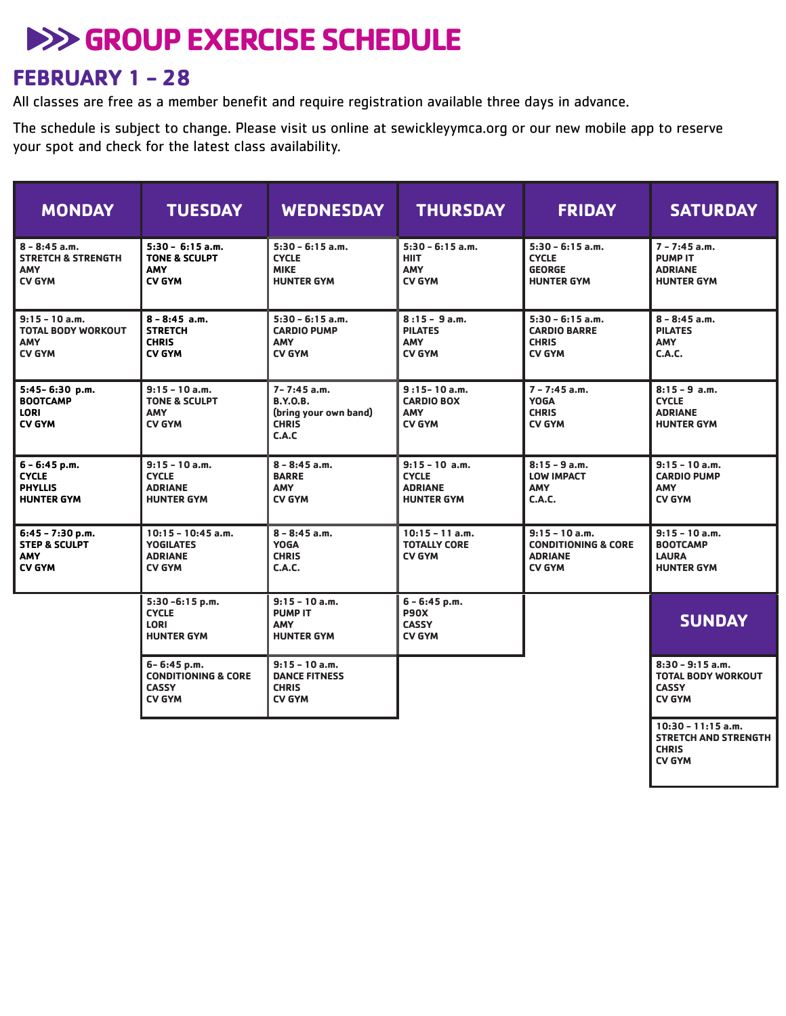# **EXERCISE SCHEDULE**

## **FEBRUARY 1 - 28**

All classes are free as a member benefit and require registration available three days in advance.

The schedule is subject to change. Please visit us online at sewickleyymca.org or our new mobile app to reserve your spot and check for the latest class availability.

| <b>MONDAY</b>                                                                   | <b>TUESDAY</b>                                                                 | <b>WEDNESDAY</b>                                                                     | <b>THURSDAY</b>                                                         | <b>FRIDAY</b>                                                                         | <b>SATURDAY</b>                                                                      |
|---------------------------------------------------------------------------------|--------------------------------------------------------------------------------|--------------------------------------------------------------------------------------|-------------------------------------------------------------------------|---------------------------------------------------------------------------------------|--------------------------------------------------------------------------------------|
| $8 - 8:45$ a.m.<br><b>STRETCH &amp; STRENGTH</b><br><b>AMY</b><br><b>CV GYM</b> | $5:30 - 6:15$ a.m.<br><b>TONE &amp; SCULPT</b><br><b>AMY</b><br><b>CV GYM</b>  | $5:30 - 6:15$ a.m.<br><b>CYCLE</b><br><b>MIKE</b><br><b>HUNTER GYM</b>               | $5:30 - 6:15$ a.m.<br><b>HIIT</b><br>AMY<br><b>CV GYM</b>               | $5:30 - 6:15$ a.m.<br><b>CYCLE</b><br><b>GEORGE</b><br><b>HUNTER GYM</b>              | $7 - 7:45$ a.m.<br><b>PUMP IT</b><br><b>ADRIANE</b><br><b>HUNTER GYM</b>             |
| $9:15 - 10$ a.m.<br><b>TOTAL BODY WORKOUT</b><br><b>AMY</b><br><b>CV GYM</b>    | $8 - 8:45$ a.m.<br><b>STRETCH</b><br><b>CHRIS</b><br><b>CV GYM</b>             | $5:30 - 6:15$ a.m.<br><b>CARDIO PUMP</b><br><b>AMY</b><br><b>CV GYM</b>              | $8:15 - 9$ a.m.<br><b>PILATES</b><br><b>AMY</b><br><b>CV GYM</b>        | $5:30 - 6:15$ a.m.<br><b>CARDIO BARRE</b><br><b>CHRIS</b><br><b>CV GYM</b>            | $8 - 8:45$ a.m.<br><b>PILATES</b><br><b>AMY</b><br>C.A.C.                            |
| 5:45-6:30 p.m.<br><b>BOOTCAMP</b><br><b>LORI</b><br><b>CV GYM</b>               | $9:15 - 10$ a.m.<br><b>TONE &amp; SCULPT</b><br><b>AMY</b><br><b>CV GYM</b>    | $7 - 7:45$ a.m.<br><b>B.Y.O.B.</b><br>(bring your own band)<br><b>CHRIS</b><br>C.A.C | $9:15 - 10$ a.m.<br><b>CARDIO BOX</b><br><b>AMY</b><br><b>CV GYM</b>    | $7 - 7:45$ a.m.<br><b>YOGA</b><br><b>CHRIS</b><br><b>CV GYM</b>                       | $8:15 - 9$ a.m.<br><b>CYCLE</b><br><b>ADRIANE</b><br><b>HUNTER GYM</b>               |
| 6 - 6:45 p.m.<br><b>CYCLE</b><br><b>PHYLLIS</b><br><b>HUNTER GYM</b>            | $9:15 - 10$ a.m.<br><b>CYCLE</b><br><b>ADRIANE</b><br><b>HUNTER GYM</b>        | $8 - 8:45$ a.m.<br><b>BARRE</b><br><b>AMY</b><br><b>CV GYM</b>                       | $9:15 - 10$ a.m.<br><b>CYCLE</b><br><b>ADRIANE</b><br><b>HUNTER GYM</b> | $8:15 - 9$ a.m.<br><b>LOW IMPACT</b><br><b>AMY</b><br>C.A.C.                          | $9:15 - 10$ a.m.<br><b>CARDIO PUMP</b><br><b>AMY</b><br><b>CV GYM</b>                |
| 6:45 - 7:30 p.m.<br><b>STEP &amp; SCULPT</b><br><b>AMY</b><br><b>CV GYM</b>     | $10:15 - 10:45$ a.m.<br><b>YOGILATES</b><br><b>ADRIANE</b><br><b>CV GYM</b>    | $8 - 8:45$ a.m.<br><b>YOGA</b><br><b>CHRIS</b><br><b>C.A.C.</b>                      | $10:15 - 11$ a.m.<br><b>TOTALLY CORE</b><br><b>CV GYM</b>               | $9:15 - 10$ a.m.<br><b>CONDITIONING &amp; CORE</b><br><b>ADRIANE</b><br><b>CV GYM</b> | $9:15 - 10$ a.m.<br><b>BOOTCAMP</b><br><b>LAURA</b><br><b>HUNTER GYM</b>             |
|                                                                                 | 5:30-6:15 p.m.<br><b>CYCLE</b><br><b>LORI</b><br><b>HUNTER GYM</b>             | $9:15 - 10$ a.m.<br><b>PUMP IT</b><br><b>AMY</b><br><b>HUNTER GYM</b>                | $6 - 6:45$ p.m.<br><b>P90X</b><br><b>CASSY</b><br><b>CV GYM</b>         |                                                                                       | <b>SUNDAY</b>                                                                        |
|                                                                                 | 6-6:45 p.m.<br><b>CONDITIONING &amp; CORE</b><br><b>CASSY</b><br><b>CV GYM</b> | $9:15 - 10$ a.m.<br><b>DANCE FITNESS</b><br><b>CHRIS</b><br><b>CV GYM</b>            |                                                                         |                                                                                       | $8:30 - 9:15$ a.m.<br><b>TOTAL BODY WORKOUT</b><br><b>CASSY</b><br><b>CV GYM</b>     |
|                                                                                 |                                                                                |                                                                                      |                                                                         |                                                                                       | $10:30 - 11:15$ a.m.<br><b>STRETCH AND STRENGTH</b><br><b>CHRIS</b><br><b>CV GYM</b> |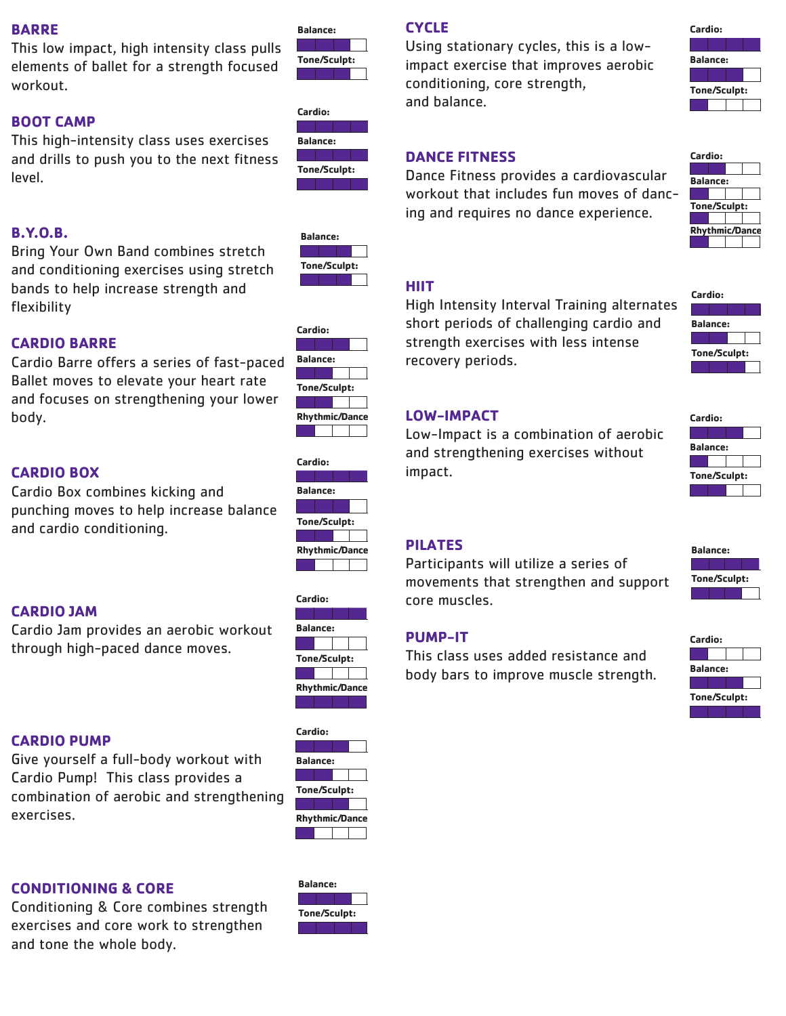#### **BARRE**

This low impact, high intensity class pulls elements of ballet for a strength focused workout.

#### **BOOT CAMP**

This high-intensity class uses exercises and drills to push you to the next fitness level.



**Balance:**



#### **B.Y.O.B.**

Bring Your Own Band combines stretch and conditioning exercises using stretch bands to help increase strength and flexibility



**Cardio:**

**Balance:**

**Tone/Sculpt:**

**Rhythmic/Dance:**

### **CARDIO BARRE**

Cardio Barre offers a series of fast-paced Ballet moves to elevate your heart rate and focuses on strengthening your lower body.

# **CARDIO BOX**

Cardio Box combines kicking and punching moves to help increase balance and cardio conditioning.

#### **CARDIO JAM**

Cardio Jam provides an aerobic workout through high-paced dance moves.





**Cardio:**

**Cardio:**

**Balance:**

**Tone/Sculpt:**

**Rhythmic/Dance:**

#### **CARDIO PUMP**

Give yourself a full-body workout with Cardio Pump! This class provides a combination of aerobic and strengthening exercises.

#### **CONDITIONING & CORE**

Conditioning & Core combines strength exercises and core work to strengthen and tone the whole body.



### **CYCLE**

Using stationary cycles, this is a lowimpact exercise that improves aerobic conditioning, core strength, and balance.

| Cardio:         |  |  |  |
|-----------------|--|--|--|
|                 |  |  |  |
| <b>Balance:</b> |  |  |  |
|                 |  |  |  |
| Tone/Sculpt:    |  |  |  |
|                 |  |  |  |
|                 |  |  |  |

#### **DANCE FITNESS**

Dance Fitness provides a cardiovascular workout that includes fun moves of dancing and requires no dance experience.



### **HIIT**

High Intensity Interval Training alternates short periods of challenging cardio and strength exercises with less intense recovery periods.



**Cardio:**

**Balance:**

**Tone/Sculpt:**

#### **LOW-IMPACT**

Low-Impact is a combination of aerobic and strengthening exercises without impact.

#### **PILATES**

Participants will utilize a series of movements that strengthen and support core muscles.

#### **PUMP-IT**

This class uses added resistance and body bars to improve muscle strength.



**Tone/Sculpt:**